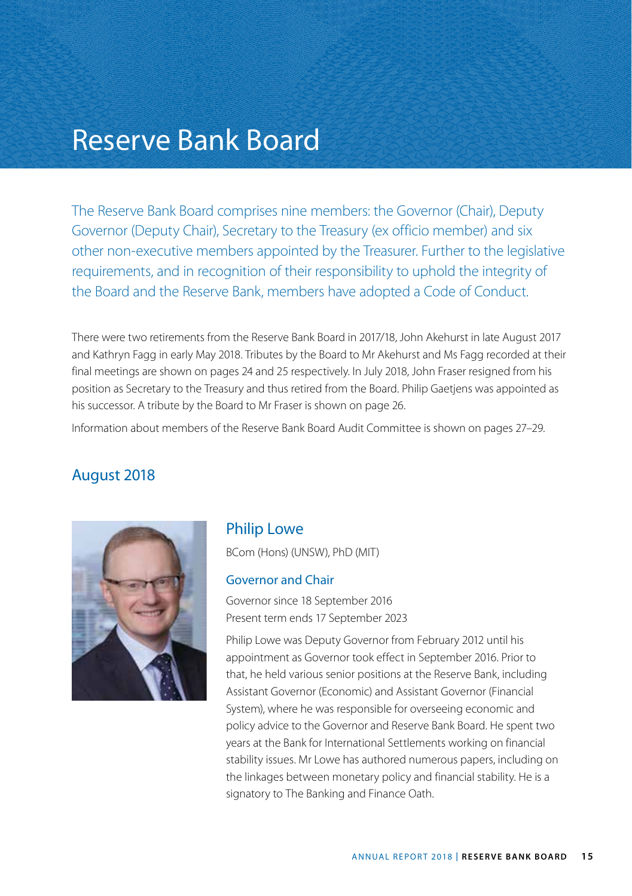# Reserve Bank Board

The Reserve Bank Board comprises nine members: the Governor (Chair), Deputy Governor (Deputy Chair), Secretary to the Treasury (ex officio member) and six other non-executive members appointed by the Treasurer. Further to the legislative requirements, and in recognition of their responsibility to uphold the integrity of the Board and the Reserve Bank, members have adopted a Code of Conduct.

There were two retirements from the Reserve Bank Board in 2017/18, John Akehurst in late August 2017 and Kathryn Fagg in early May 2018. Tributes by the Board to Mr Akehurst and Ms Fagg recorded at their final meetings are shown on pages 24 and 25 respectively. In July 2018, John Fraser resigned from his position as Secretary to the Treasury and thus retired from the Board. Philip Gaetjens was appointed as his successor. A tribute by the Board to Mr Fraser is shown on page 26.

Information about members of the Reserve Bank Board Audit Committee is shown on pages 27–29.

### August 2018



#### Philip Lowe

BCom (Hons) (UNSW), PhD (MIT)

#### Governor and Chair

Governor since 18 September 2016 Present term ends 17 September 2023

Philip Lowe was Deputy Governor from February 2012 until his appointment as Governor took effect in September 2016. Prior to that, he held various senior positions at the Reserve Bank, including Assistant Governor (Economic) and Assistant Governor (Financial System), where he was responsible for overseeing economic and policy advice to the Governor and Reserve Bank Board. He spent two years at the Bank for International Settlements working on financial stability issues. Mr Lowe has authored numerous papers, including on the linkages between monetary policy and financial stability. He is a signatory to The Banking and Finance Oath.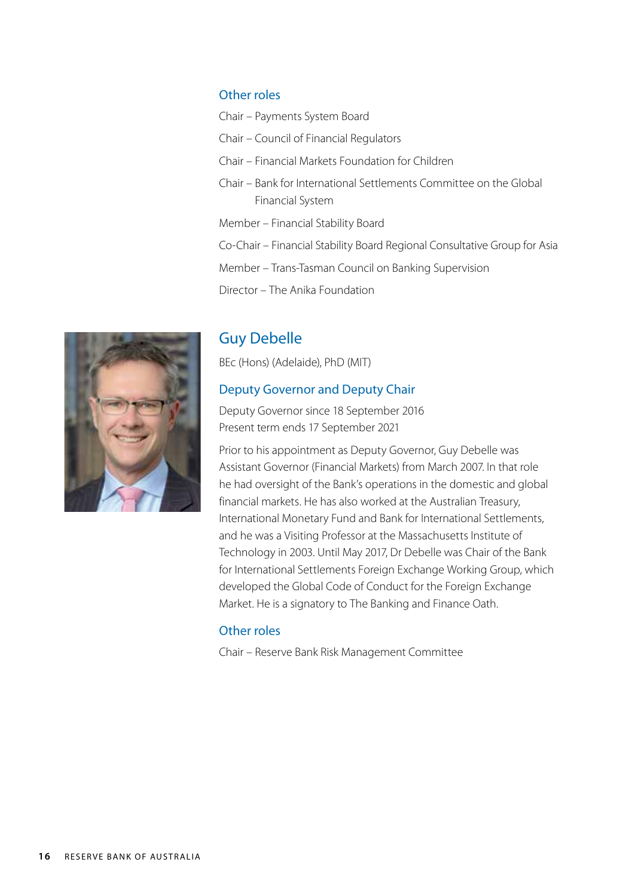#### Other roles

Chair – Payments System Board Chair – Council of Financial Regulators Chair – Financial Markets Foundation for Children Chair – Bank for International Settlements Committee on the Global Financial System Member – Financial Stability Board Co-Chair – Financial Stability Board Regional Consultative Group for Asia Member – Trans-Tasman Council on Banking Supervision Director – The Anika Foundation



# Guy Debelle

BEc (Hons) (Adelaide), PhD (MIT)

#### Deputy Governor and Deputy Chair

Deputy Governor since 18 September 2016 Present term ends 17 September 2021

Prior to his appointment as Deputy Governor, Guy Debelle was Assistant Governor (Financial Markets) from March 2007. In that role he had oversight of the Bank's operations in the domestic and global financial markets. He has also worked at the Australian Treasury, International Monetary Fund and Bank for International Settlements, and he was a Visiting Professor at the Massachusetts Institute of Technology in 2003. Until May 2017, Dr Debelle was Chair of the Bank for International Settlements Foreign Exchange Working Group, which developed the Global Code of Conduct for the Foreign Exchange Market. He is a signatory to The Banking and Finance Oath.

#### Other roles

Chair – Reserve Bank Risk Management Committee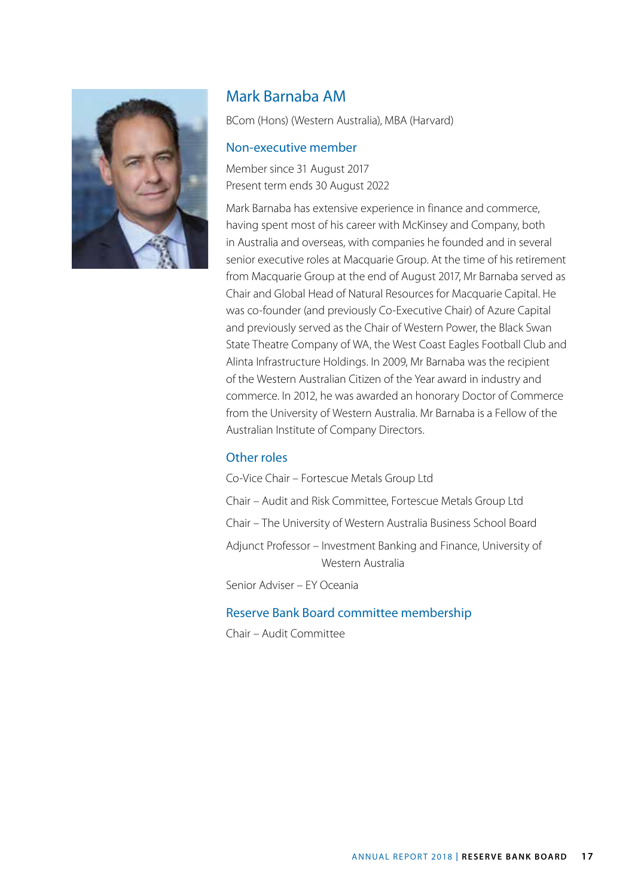

## Mark Barnaba AM

BCom (Hons) (Western Australia), MBA (Harvard)

#### Non-executive member

Member since 31 August 2017 Present term ends 30 August 2022

Mark Barnaba has extensive experience in finance and commerce, having spent most of his career with McKinsey and Company, both in Australia and overseas, with companies he founded and in several senior executive roles at Macquarie Group. At the time of his retirement from Macquarie Group at the end of August 2017, Mr Barnaba served as Chair and Global Head of Natural Resources for Macquarie Capital. He was co-founder (and previously Co-Executive Chair) of Azure Capital and previously served as the Chair of Western Power, the Black Swan State Theatre Company of WA, the West Coast Eagles Football Club and Alinta Infrastructure Holdings. In 2009, Mr Barnaba was the recipient of the Western Australian Citizen of the Year award in industry and commerce. In 2012, he was awarded an honorary Doctor of Commerce from the University of Western Australia. Mr Barnaba is a Fellow of the Australian Institute of Company Directors.

#### Other roles

Co-Vice Chair – Fortescue Metals Group Ltd Chair – Audit and Risk Committee, Fortescue Metals Group Ltd Chair – The University of Western Australia Business School Board Adjunct Professor – Investment Banking and Finance, University of Western Australia Senior Adviser – EY Oceania

#### Reserve Bank Board committee membership

Chair – Audit Committee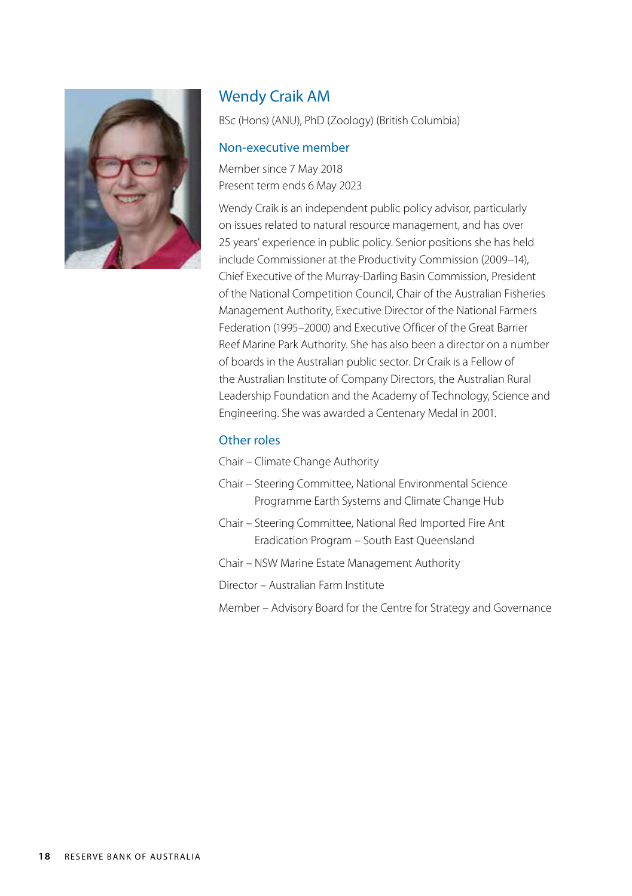

# Wendy Craik AM

BSc (Hons) (ANU), PhD (Zoology) (British Columbia)

#### Non-executive member

Member since 7 May 2018 Present term ends 6 May 2023

Wendy Craik is an independent public policy advisor, particularly on issues related to natural resource management, and has over 25 years' experience in public policy. Senior positions she has held include Commissioner at the Productivity Commission (2009–14), Chief Executive of the Murray-Darling Basin Commission, President of the National Competition Council, Chair of the Australian Fisheries Management Authority, Executive Director of the National Farmers Federation (1995–2000) and Executive Officer of the Great Barrier Reef Marine Park Authority. She has also been a director on a number of boards in the Australian public sector. Dr Craik is a Fellow of the Australian Institute of Company Directors, the Australian Rural Leadership Foundation and the Academy of Technology, Science and Engineering. She was awarded a Centenary Medal in 2001.

### Other roles

Chair – Climate Change Authority

- Chair Steering Committee, National Environmental Science Programme Earth Systems and Climate Change Hub
- Chair Steering Committee, National Red Imported Fire Ant Eradication Program – South East Queensland
- Chair NSW Marine Estate Management Authority

Director – Australian Farm Institute

Member – Advisory Board for the Centre for Strategy and Governance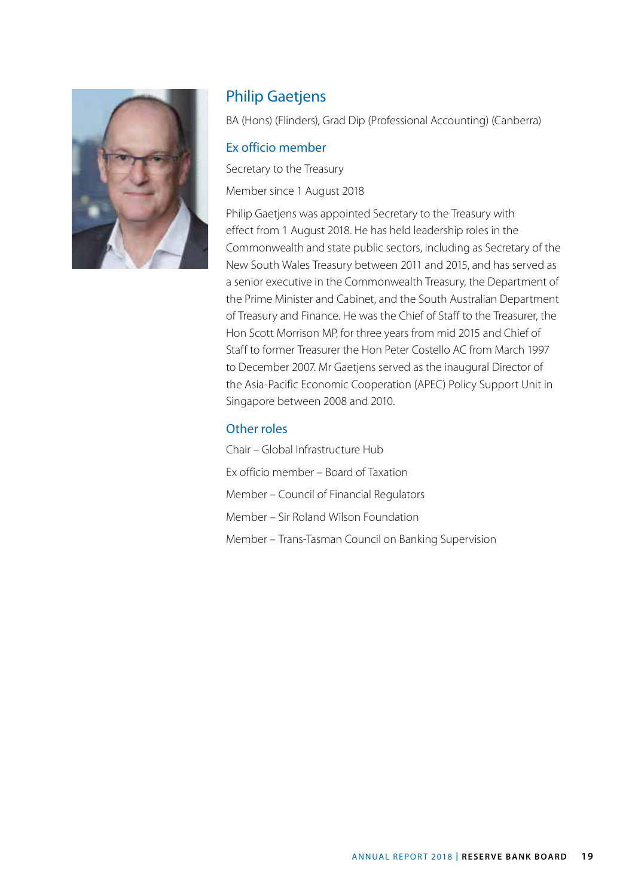

# Philip Gaetjens

BA (Hons) (Flinders), Grad Dip (Professional Accounting) (Canberra)

#### Ex officio member

Secretary to the Treasury

Member since 1 August 2018

Philip Gaetjens was appointed Secretary to the Treasury with effect from 1 August 2018. He has held leadership roles in the Commonwealth and state public sectors, including as Secretary of the New South Wales Treasury between 2011 and 2015, and has served as a senior executive in the Commonwealth Treasury, the Department of the Prime Minister and Cabinet, and the South Australian Department of Treasury and Finance. He was the Chief of Staff to the Treasurer, the Hon Scott Morrison MP, for three years from mid 2015 and Chief of Staff to former Treasurer the Hon Peter Costello AC from March 1997 to December 2007. Mr Gaetjens served as the inaugural Director of the Asia-Pacific Economic Cooperation (APEC) Policy Support Unit in Singapore between 2008 and 2010.

#### Other roles

Chair – Global Infrastructure Hub Ex officio member – Board of Taxation Member – Council of Financial Regulators Member – Sir Roland Wilson Foundation Member – Trans-Tasman Council on Banking Supervision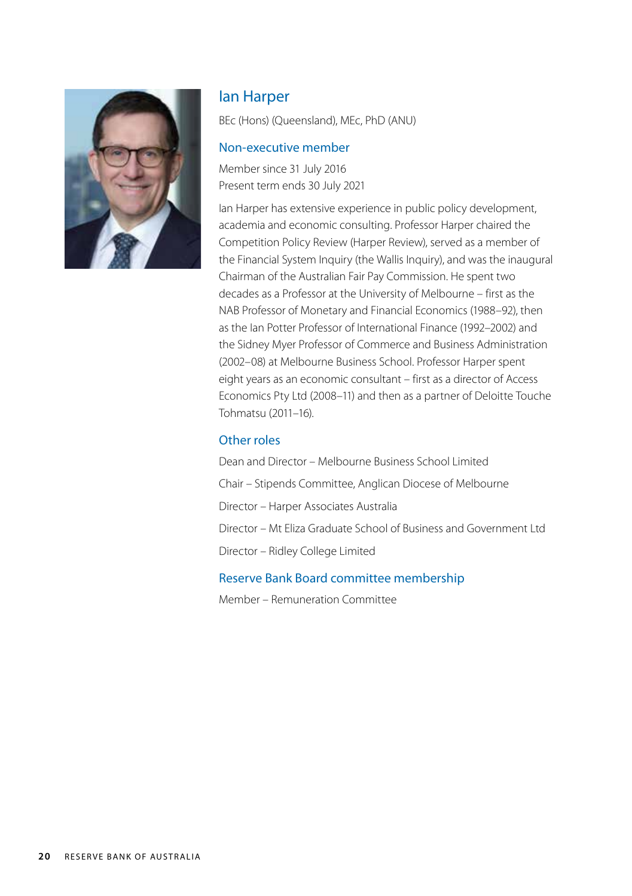

### Ian Harper

BEc (Hons) (Queensland), MEc, PhD (ANU)

#### Non-executive member

Member since 31 July 2016 Present term ends 30 July 2021

Ian Harper has extensive experience in public policy development, academia and economic consulting. Professor Harper chaired the Competition Policy Review (Harper Review), served as a member of the Financial System Inquiry (the Wallis Inquiry), and was the inaugural Chairman of the Australian Fair Pay Commission. He spent two decades as a Professor at the University of Melbourne – first as the NAB Professor of Monetary and Financial Economics (1988–92), then as the Ian Potter Professor of International Finance (1992–2002) and the Sidney Myer Professor of Commerce and Business Administration (2002–08) at Melbourne Business School. Professor Harper spent eight years as an economic consultant – first as a director of Access Economics Pty Ltd (2008–11) and then as a partner of Deloitte Touche Tohmatsu (2011–16).

#### Other roles

Dean and Director – Melbourne Business School Limited Chair – Stipends Committee, Anglican Diocese of Melbourne Director – Harper Associates Australia Director – Mt Eliza Graduate School of Business and Government Ltd Director – Ridley College Limited

#### Reserve Bank Board committee membership

Member – Remuneration Committee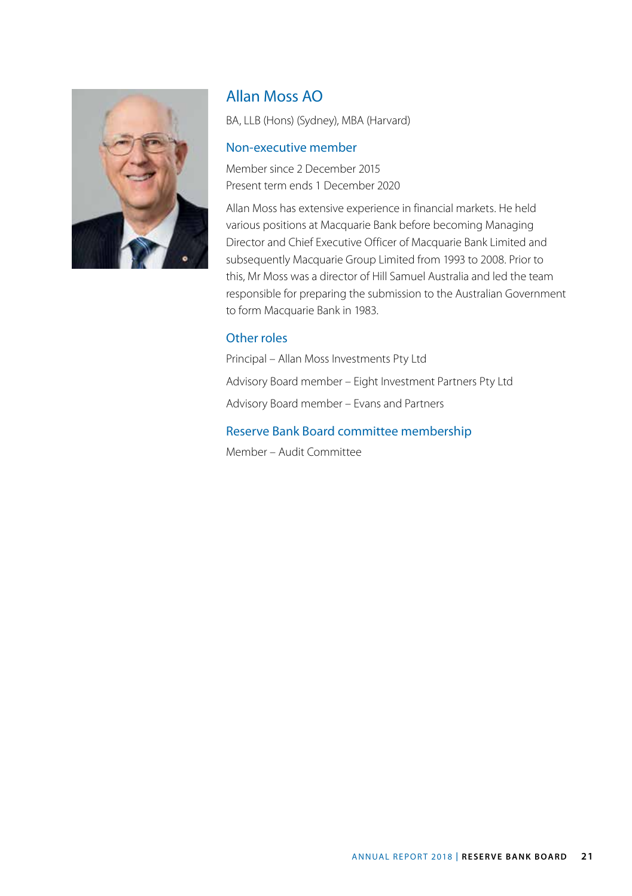

# Allan Moss AO

BA, LLB (Hons) (Sydney), MBA (Harvard)

#### Non-executive member

Member since 2 December 2015 Present term ends 1 December 2020

Allan Moss has extensive experience in financial markets. He held various positions at Macquarie Bank before becoming Managing Director and Chief Executive Officer of Macquarie Bank Limited and subsequently Macquarie Group Limited from 1993 to 2008. Prior to this, Mr Moss was a director of Hill Samuel Australia and led the team responsible for preparing the submission to the Australian Government to form Macquarie Bank in 1983.

#### Other roles

Principal – Allan Moss Investments Pty Ltd Advisory Board member – Eight Investment Partners Pty Ltd Advisory Board member – Evans and Partners

#### Reserve Bank Board committee membership

Member – Audit Committee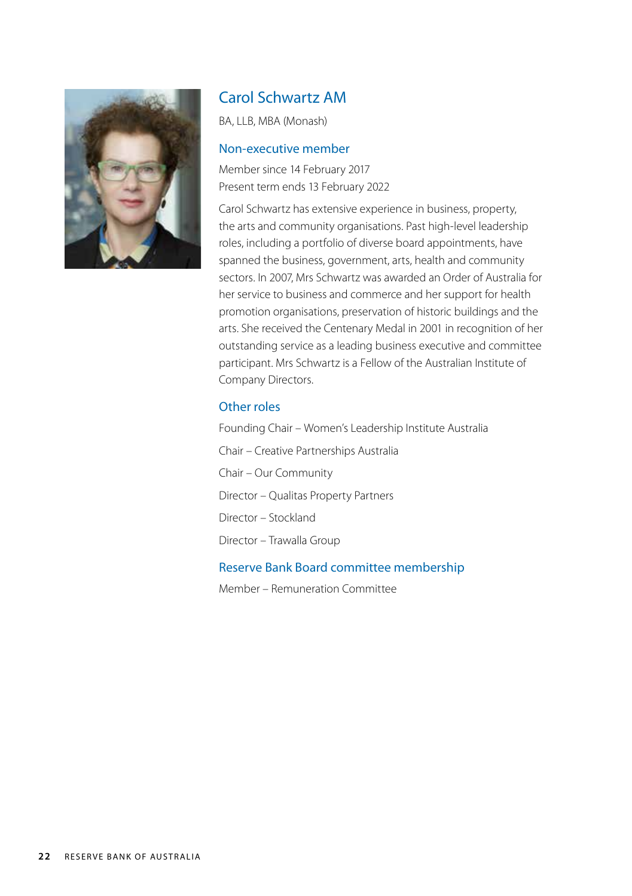

## Carol Schwartz AM

BA, LLB, MBA (Monash)

#### Non-executive member

Member since 14 February 2017 Present term ends 13 February 2022

Carol Schwartz has extensive experience in business, property, the arts and community organisations. Past high-level leadership roles, including a portfolio of diverse board appointments, have spanned the business, government, arts, health and community sectors. In 2007, Mrs Schwartz was awarded an Order of Australia for her service to business and commerce and her support for health promotion organisations, preservation of historic buildings and the arts. She received the Centenary Medal in 2001 in recognition of her outstanding service as a leading business executive and committee participant. Mrs Schwartz is a Fellow of the Australian Institute of Company Directors.

#### Other roles

Founding Chair – Women's Leadership Institute Australia Chair – Creative Partnerships Australia Chair – Our Community Director – Qualitas Property Partners Director – Stockland Director – Trawalla Group

#### Reserve Bank Board committee membership

Member – Remuneration Committee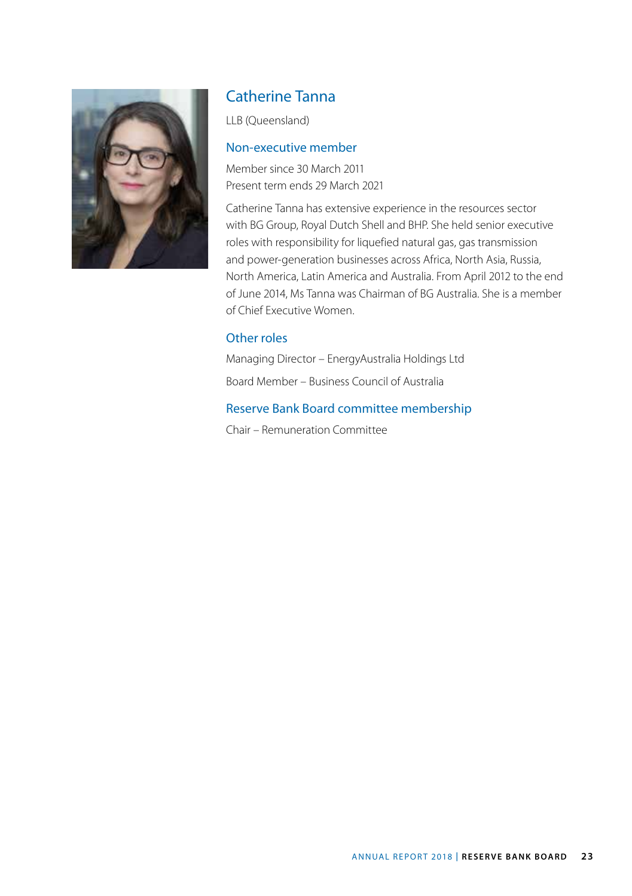

### Catherine Tanna

LLB (Queensland)

#### Non-executive member

Member since 30 March 2011 Present term ends 29 March 2021

Catherine Tanna has extensive experience in the resources sector with BG Group, Royal Dutch Shell and BHP. She held senior executive roles with responsibility for liquefied natural gas, gas transmission and power-generation businesses across Africa, North Asia, Russia, North America, Latin America and Australia. From April 2012 to the end of June 2014, Ms Tanna was Chairman of BG Australia. She is a member of Chief Executive Women.

#### Other roles

Managing Director – EnergyAustralia Holdings Ltd

Board Member – Business Council of Australia

#### Reserve Bank Board committee membership

Chair – Remuneration Committee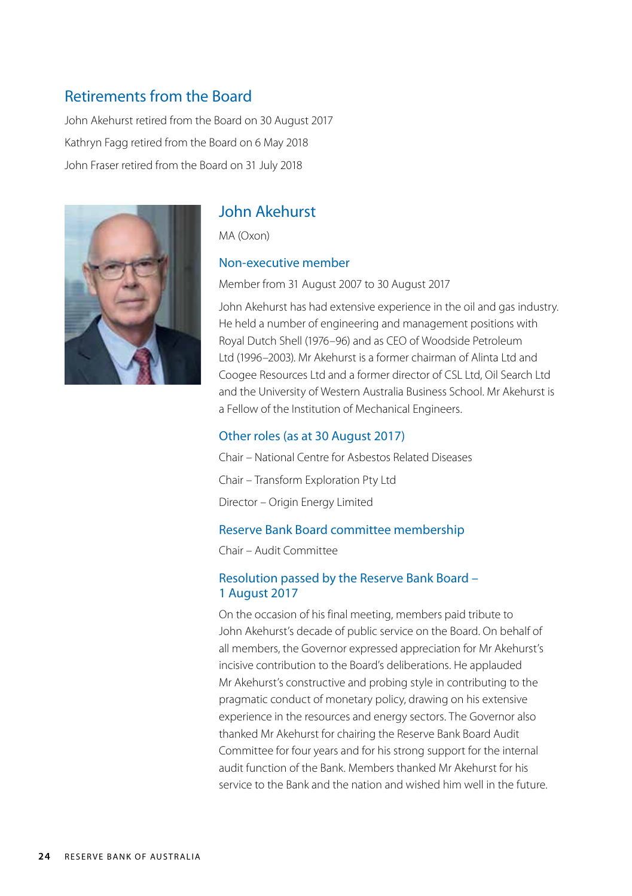### Retirements from the Board

John Akehurst retired from the Board on 30 August 2017 Kathryn Fagg retired from the Board on 6 May 2018 John Fraser retired from the Board on 31 July 2018



### John Akehurst

MA (Oxon)

#### Non-executive member

Member from 31 August 2007 to 30 August 2017

John Akehurst has had extensive experience in the oil and gas industry. He held a number of engineering and management positions with Royal Dutch Shell (1976–96) and as CEO of Woodside Petroleum Ltd (1996–2003). Mr Akehurst is a former chairman of Alinta Ltd and Coogee Resources Ltd and a former director of CSL Ltd, Oil Search Ltd and the University of Western Australia Business School. Mr Akehurst is a Fellow of the Institution of Mechanical Engineers.

#### Other roles (as at 30 August 2017)

Chair – National Centre for Asbestos Related Diseases Chair – Transform Exploration Pty Ltd Director – Origin Energy Limited

#### Reserve Bank Board committee membership

Chair – Audit Committee

#### Resolution passed by the Reserve Bank Board – 1 August 2017

On the occasion of his final meeting, members paid tribute to John Akehurst's decade of public service on the Board. On behalf of all members, the Governor expressed appreciation for Mr Akehurst's incisive contribution to the Board's deliberations. He applauded Mr Akehurst's constructive and probing style in contributing to the pragmatic conduct of monetary policy, drawing on his extensive experience in the resources and energy sectors. The Governor also thanked Mr Akehurst for chairing the Reserve Bank Board Audit Committee for four years and for his strong support for the internal audit function of the Bank. Members thanked Mr Akehurst for his service to the Bank and the nation and wished him well in the future.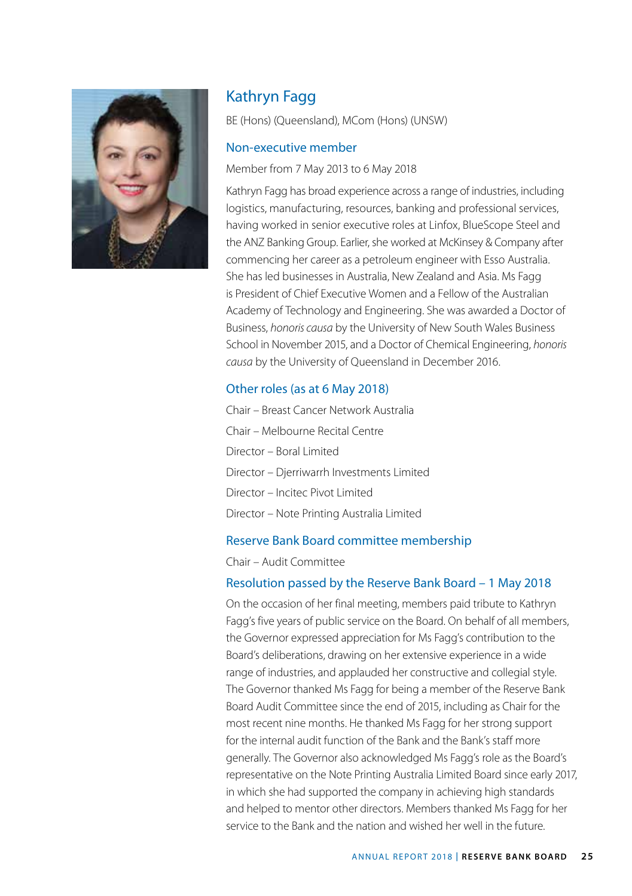

# Kathryn Fagg

BE (Hons) (Queensland), MCom (Hons) (UNSW)

#### Non-executive member

#### Member from 7 May 2013 to 6 May 2018

Kathryn Fagg has broad experience across a range of industries, including logistics, manufacturing, resources, banking and professional services, having worked in senior executive roles at Linfox, BlueScope Steel and the ANZ Banking Group. Earlier, she worked at McKinsey & Company after commencing her career as a petroleum engineer with Esso Australia. She has led businesses in Australia, New Zealand and Asia. Ms Fagg is President of Chief Executive Women and a Fellow of the Australian Academy of Technology and Engineering. She was awarded a Doctor of Business, *honoris causa* by the University of New South Wales Business School in November 2015, and a Doctor of Chemical Engineering, *honoris causa* by the University of Queensland in December 2016.

#### Other roles (as at 6 May 2018)

Chair – Breast Cancer Network Australia Chair – Melbourne Recital Centre Director – Boral Limited Director – Djerriwarrh Investments Limited Director – Incitec Pivot Limited Director – Note Printing Australia Limited

#### Reserve Bank Board committee membership

Chair – Audit Committee

#### Resolution passed by the Reserve Bank Board – 1 May 2018

On the occasion of her final meeting, members paid tribute to Kathryn Fagg's five years of public service on the Board. On behalf of all members, the Governor expressed appreciation for Ms Fagg's contribution to the Board's deliberations, drawing on her extensive experience in a wide range of industries, and applauded her constructive and collegial style. The Governor thanked Ms Fagg for being a member of the Reserve Bank Board Audit Committee since the end of 2015, including as Chair for the most recent nine months. He thanked Ms Fagg for her strong support for the internal audit function of the Bank and the Bank's staff more generally. The Governor also acknowledged Ms Fagg's role as the Board's representative on the Note Printing Australia Limited Board since early 2017, in which she had supported the company in achieving high standards and helped to mentor other directors. Members thanked Ms Fagg for her service to the Bank and the nation and wished her well in the future.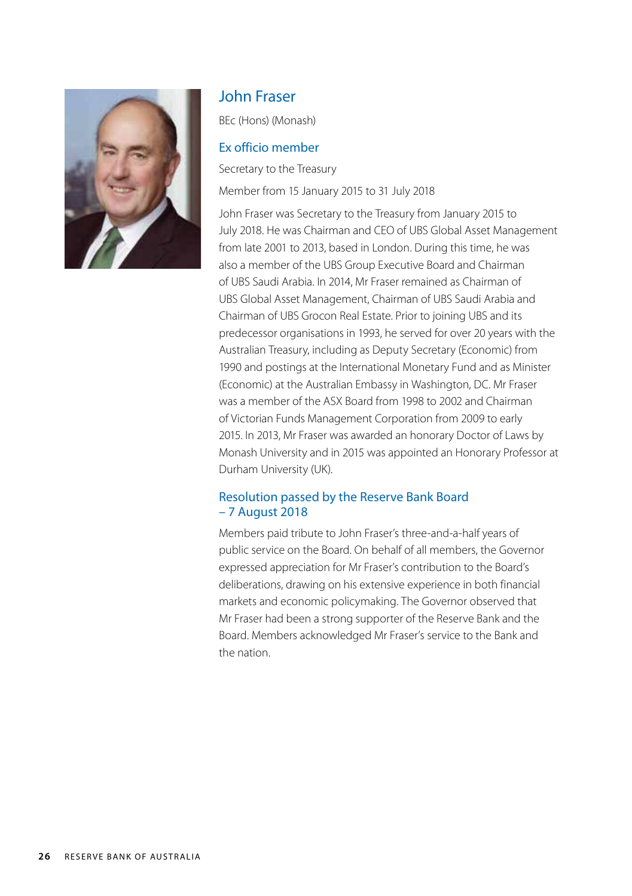

### John Fraser

BEc (Hons) (Monash)

#### Ex officio member

Secretary to the Treasury

Member from 15 January 2015 to 31 July 2018

John Fraser was Secretary to the Treasury from January 2015 to July 2018. He was Chairman and CEO of UBS Global Asset Management from late 2001 to 2013, based in London. During this time, he was also a member of the UBS Group Executive Board and Chairman of UBS Saudi Arabia. In 2014, Mr Fraser remained as Chairman of UBS Global Asset Management, Chairman of UBS Saudi Arabia and Chairman of UBS Grocon Real Estate. Prior to joining UBS and its predecessor organisations in 1993, he served for over 20 years with the Australian Treasury, including as Deputy Secretary (Economic) from 1990 and postings at the International Monetary Fund and as Minister (Economic) at the Australian Embassy in Washington, DC. Mr Fraser was a member of the ASX Board from 1998 to 2002 and Chairman of Victorian Funds Management Corporation from 2009 to early 2015. In 2013, Mr Fraser was awarded an honorary Doctor of Laws by Monash University and in 2015 was appointed an Honorary Professor at Durham University (UK).

#### Resolution passed by the Reserve Bank Board – 7 August 2018

Members paid tribute to John Fraser's three-and-a-half years of public service on the Board. On behalf of all members, the Governor expressed appreciation for Mr Fraser's contribution to the Board's deliberations, drawing on his extensive experience in both financial markets and economic policymaking. The Governor observed that Mr Fraser had been a strong supporter of the Reserve Bank and the Board. Members acknowledged Mr Fraser's service to the Bank and the nation.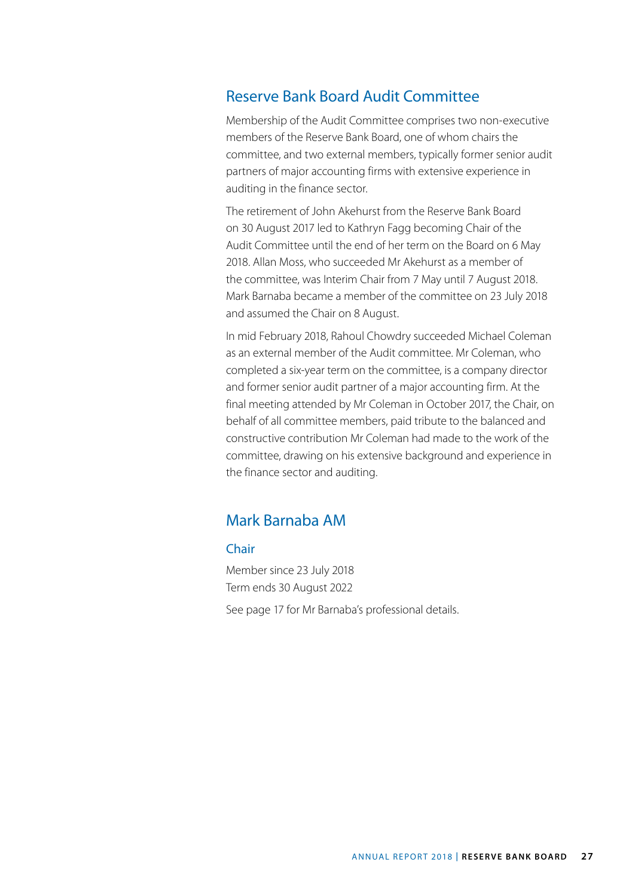### Reserve Bank Board Audit Committee

Membership of the Audit Committee comprises two non-executive members of the Reserve Bank Board, one of whom chairs the committee, and two external members, typically former senior audit partners of major accounting firms with extensive experience in auditing in the finance sector.

The retirement of John Akehurst from the Reserve Bank Board on 30 August 2017 led to Kathryn Fagg becoming Chair of the Audit Committee until the end of her term on the Board on 6 May 2018. Allan Moss, who succeeded Mr Akehurst as a member of the committee, was Interim Chair from 7 May until 7 August 2018. Mark Barnaba became a member of the committee on 23 July 2018 and assumed the Chair on 8 August.

In mid February 2018, Rahoul Chowdry succeeded Michael Coleman as an external member of the Audit committee. Mr Coleman, who completed a six-year term on the committee, is a company director and former senior audit partner of a major accounting firm. At the final meeting attended by Mr Coleman in October 2017, the Chair, on behalf of all committee members, paid tribute to the balanced and constructive contribution Mr Coleman had made to the work of the committee, drawing on his extensive background and experience in the finance sector and auditing.

### Mark Barnaba AM

#### Chair

Member since 23 July 2018 Term ends 30 August 2022 See page 17 for Mr Barnaba's professional details.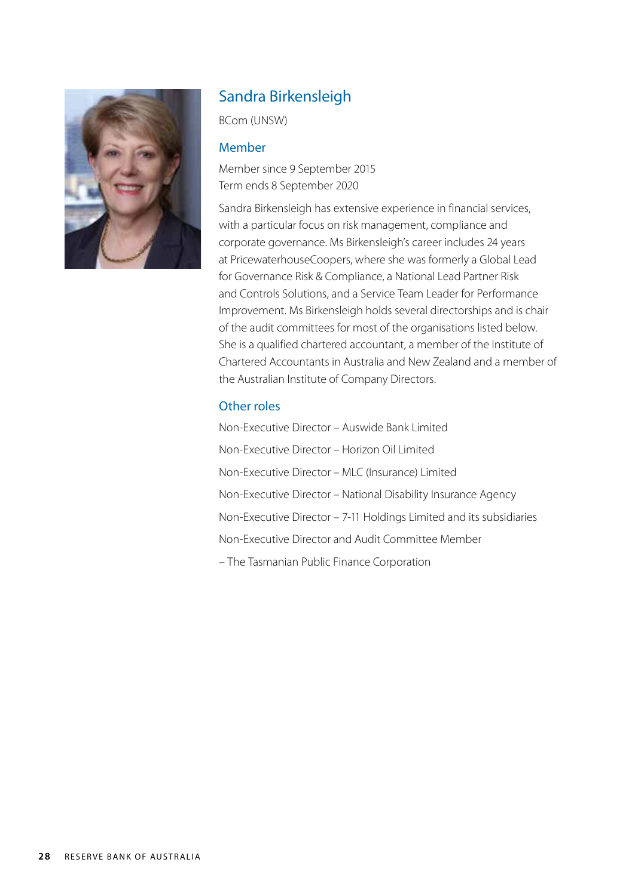

# Sandra Birkensleigh

BCom (UNSW)

#### Member

Member since 9 September 2015 Term ends 8 September 2020

Sandra Birkensleigh has extensive experience in financial services, with a particular focus on risk management, compliance and corporate governance. Ms Birkensleigh's career includes 24 years at PricewaterhouseCoopers, where she was formerly a Global Lead for Governance Risk & Compliance, a National Lead Partner Risk and Controls Solutions, and a Service Team Leader for Performance Improvement. Ms Birkensleigh holds several directorships and is chair of the audit committees for most of the organisations listed below. She is a qualified chartered accountant, a member of the Institute of Chartered Accountants in Australia and New Zealand and a member of the Australian Institute of Company Directors.

#### Other roles

Non-Executive Director – Auswide Bank Limited Non-Executive Director – Horizon Oil Limited Non-Executive Director – MLC (Insurance) Limited Non-Executive Director – National Disability Insurance Agency Non-Executive Director – 7-11 Holdings Limited and its subsidiaries Non-Executive Director and Audit Committee Member – The Tasmanian Public Finance Corporation